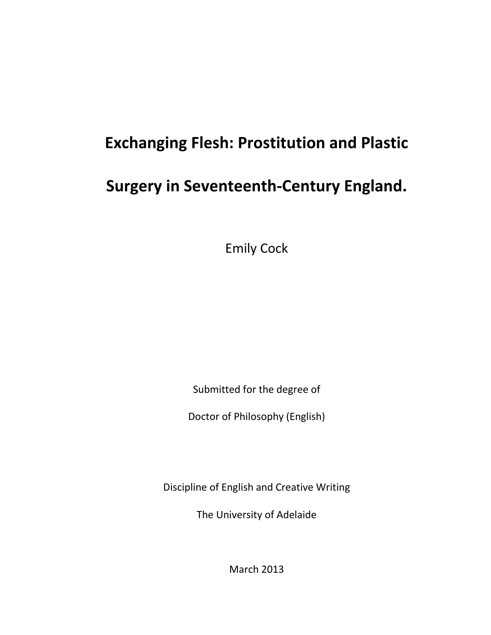# **Exchanging Flesh: Prostitution and Plastic**

## **Surgery in Seventeenth-Century England.**

Emily Cock

Submitted for the degree of

Doctor of Philosophy (English)

Discipline of English and Creative Writing

The University of Adelaide

March 2013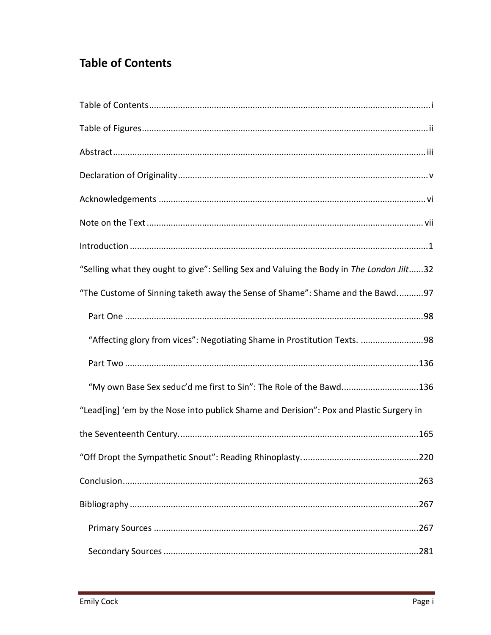### <span id="page-2-0"></span>**Table of Contents**

| "Selling what they ought to give": Selling Sex and Valuing the Body in The London Jilt32 |
|------------------------------------------------------------------------------------------|
| "The Custome of Sinning taketh away the Sense of Shame": Shame and the Bawd97            |
|                                                                                          |
| "Affecting glory from vices": Negotiating Shame in Prostitution Texts. 98                |
|                                                                                          |
| "My own Base Sex seduc'd me first to Sin": The Role of the Bawd136                       |
| "Lead[ing] 'em by the Nose into publick Shame and Derision": Pox and Plastic Surgery in  |
|                                                                                          |
|                                                                                          |
|                                                                                          |
|                                                                                          |
|                                                                                          |
|                                                                                          |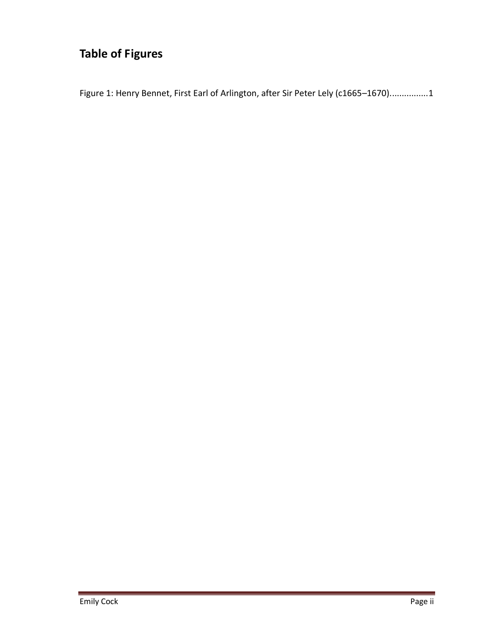## <span id="page-3-0"></span>**Table of Figures**

Figure 1: Henry Bennet, First Earl of Arlington, after Sir Peter Lely (c1665-1670)...............1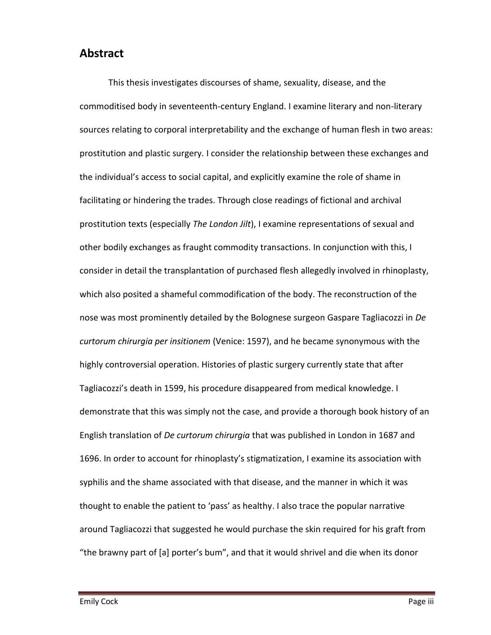#### <span id="page-4-0"></span>**Abstract**

This thesis investigates discourses of shame, sexuality, disease, and the commoditised body in seventeenth-century England. I examine literary and non-literary sources relating to corporal interpretability and the exchange of human flesh in two areas: prostitution and plastic surgery. I consider the relationship between these exchanges and the individual's access to social capital, and explicitly examine the role of shame in facilitating or hindering the trades. Through close readings of fictional and archival prostitution texts (especially *The London Jilt*), I examine representations of sexual and other bodily exchanges as fraught commodity transactions. In conjunction with this, I consider in detail the transplantation of purchased flesh allegedly involved in rhinoplasty, which also posited a shameful commodification of the body. The reconstruction of the nose was most prominently detailed by the Bolognese surgeon Gaspare Tagliacozzi in *De curtorum chirurgia per insitionem* (Venice: 1597), and he became synonymous with the highly controversial operation. Histories of plastic surgery currently state that after Tagliacozzi's death in 1599, his procedure disappeared from medical knowledge. I demonstrate that this was simply not the case, and provide a thorough book history of an English translation of *De curtorum chirurgia* that was published in London in 1687 and 1696. In order to account for rhinoplasty's stigmatization, I examine its association with syphilis and the shame associated with that disease, and the manner in which it was thought to enable the patient to 'pass' as healthy. I also trace the popular narrative around Tagliacozzi that suggested he would purchase the skin required for his graft from "the brawny part of  $\lceil a \rceil$  porter's bum", and that it would shrivel and die when its donor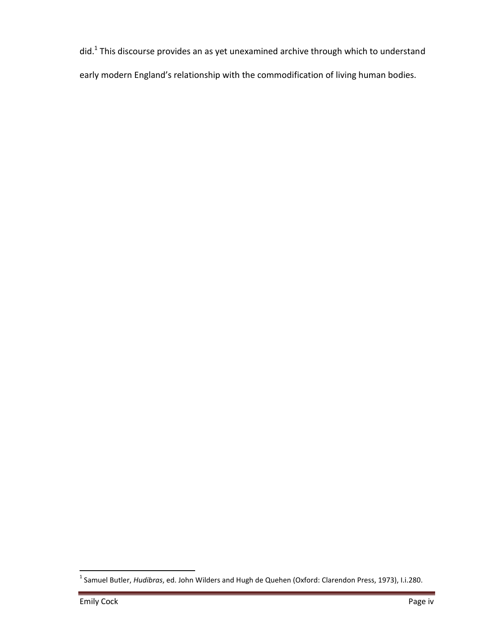did.<sup>1</sup> This discourse provides an as yet unexamined archive through which to understand

early modern England's relationship with the commodification of living human bodies.

 1 Samuel Butler, *Hudibras*, ed. John Wilders and Hugh de Quehen (Oxford: Clarendon Press, 1973), I.i.280.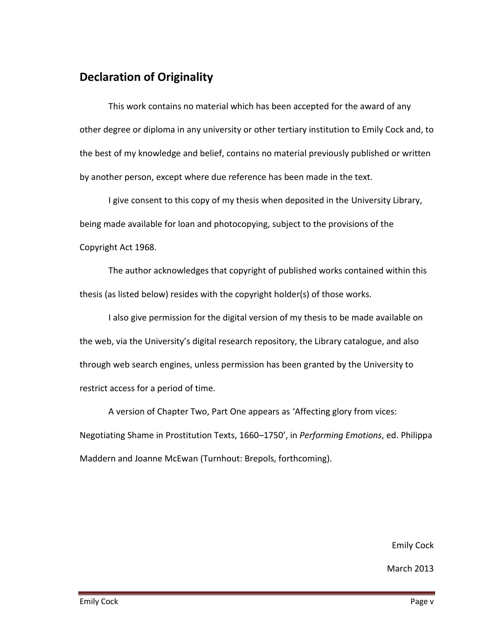#### <span id="page-6-0"></span>**Declaration of Originality**

This work contains no material which has been accepted for the award of any other degree or diploma in any university or other tertiary institution to Emily Cock and, to the best of my knowledge and belief, contains no material previously published or written by another person, except where due reference has been made in the text.

I give consent to this copy of my thesis when deposited in the University Library, being made available for loan and photocopying, subject to the provisions of the Copyright Act 1968.

The author acknowledges that copyright of published works contained within this thesis (as listed below) resides with the copyright holder(s) of those works.

I also give permission for the digital version of my thesis to be made available on the web, via the University's digital research repository, the Library catalogue, and also through web search engines, unless permission has been granted by the University to restrict access for a period of time.

A version of Chapter Two, Part One appears as 'Affecting glory from vices: Negotiating Shame in Prostitution Texts, 1660–1750', in *Performing Emotions*, ed. Philippa Maddern and Joanne McEwan (Turnhout: Brepols, forthcoming).

Emily Cock

March 2013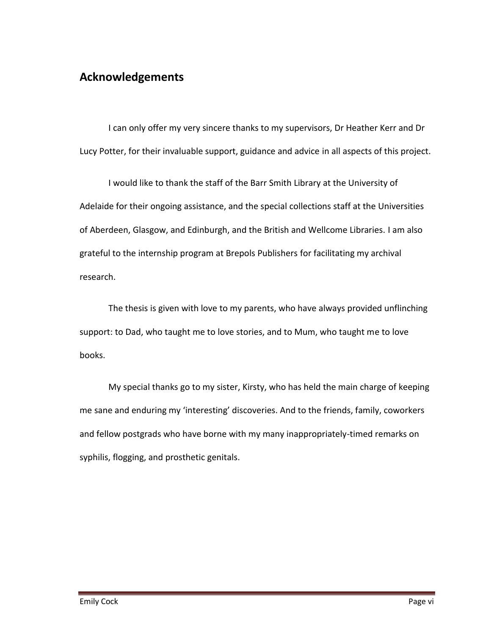#### <span id="page-7-0"></span>**Acknowledgements**

I can only offer my very sincere thanks to my supervisors, Dr Heather Kerr and Dr Lucy Potter, for their invaluable support, guidance and advice in all aspects of this project.

I would like to thank the staff of the Barr Smith Library at the University of Adelaide for their ongoing assistance, and the special collections staff at the Universities of Aberdeen, Glasgow, and Edinburgh, and the British and Wellcome Libraries. I am also grateful to the internship program at Brepols Publishers for facilitating my archival research.

The thesis is given with love to my parents, who have always provided unflinching support: to Dad, who taught me to love stories, and to Mum, who taught me to love books.

My special thanks go to my sister, Kirsty, who has held the main charge of keeping me sane and enduring my 'interesting' discoveries. And to the friends, family, coworkers and fellow postgrads who have borne with my many inappropriately-timed remarks on syphilis, flogging, and prosthetic genitals.